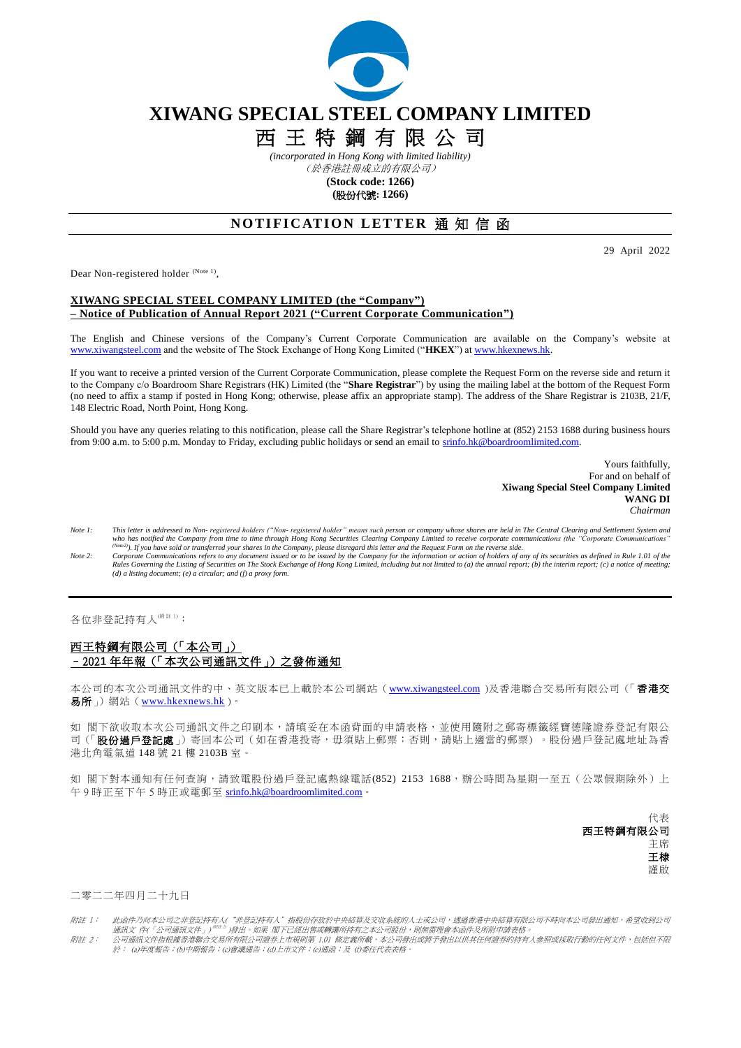

# **XIWANG SPECIAL STEEL COMPANY LIMITED**

西 王 特 鋼 有 限 公 司

*(incorporated in Hong Kong with limited liability)* (於香港註冊成立的有限公司)

**(Stock code: 1266)**

**(**股份代號**: 1266)**

# **NOTIFICATION LETTER 通知信函**

29 April 2022

Dear Non-registered holder (Note 1),

#### **XIWANG SPECIAL STEEL COMPANY LIMITED (the "Company") – Notice of Publication of Annual Report 2021 ("Current Corporate Communication")**

The English and Chinese versions of the Company's Current Corporate Communication are available on the Company's website at [www.xiwangsteel.com](http://www.xiwangsteel.com/) and the website of The Stock Exchange of Hong Kong Limited ("**HKEX**") a[t www.hkexnews.hk.](http://www.hkexnews.hk/)

If you want to receive a printed version of the Current Corporate Communication, please complete the Request Form on the reverse side and return it to the Company c/o Boardroom Share Registrars (HK) Limited (the "**Share Registrar**") by using the mailing label at the bottom of the Request Form (no need to affix a stamp if posted in Hong Kong; otherwise, please affix an appropriate stamp). The address of the Share Registrar is 2103B, 21/F, 148 Electric Road, North Point, Hong Kong.

Should you have any queries relating to this notification, please call the Share Registrar's telephone hotline at (852) 2153 1688 during business hours from 9:00 a.m. to 5:00 p.m. Monday to Friday, excluding public holidays or send an email to srinfo.hk@boardroomlimited.com.

> Yours faithfully, For and on behalf of **Xiwang Special Steel Company Limited WANG DI** *Chairman*

- *Note 1: This letter is addressed to Non- registered holders ("Non- registered holder" means such person or company whose shares are held in The Central Clearing and Settlement System and who has notified the Company from time to time through Hong Kong Securities Clearing Company Limited to receive corporate communications (the "Corporate Communications"*
- <sup>(Note2</sup>)). If you have sold or transferred your shares in the Company, please disregard this letter and the Request Form on the reverse side.<br>Note 2: Corporate Communications refers to any document issued or to be issued Rules Governing the Listing of Securities on The Stock Exchange of Hong Kong Limited, including but not limited to (a) the annual report; (b) the interim report; (c) a notice of meeting;<br>(d) a listing document; (e) a circu

各位非登記持有人(附註1):

## 西王特鋼有限公司(「本公司」) –202**1** 年年報(「本次公司通訊文件」)之發佈通知

本公司的本次公司通訊文件的中、英文版本已上載於本公司網站([www.xiwangsteel.com](http://www.irasia.com/listco/hk/xingda/index.htm))及香港聯合交易所有限公司(「香港交 易所」)網站([www.hkexnews.hk](http://www.hkexnews.hk/))。

如 閣下欲收取本次公司通訊文件之印刷本,請填妥在本函背面的申請表格,並使用隨附之郵寄標籤經寶德隆證券登記有限公 司(「股份過戶登記處」)寄回本公司(如在香港投寄,毋須貼上郵票;否則,請貼上適當的郵票)。股份過戶登記處地址為香 港北角電氣道 148 號 21 樓 2103B 室。

如 閣下對本通知有任何查詢,請致電股份過戶登記處熱線電話(852) 2153 1688,辦公時間為星期一至五(公眾假期除外)上 午 9 時正至下午 5 時正或電郵至 [srinfo.hk@boardroomlimited.com](mailto:srinfo.hk@boardroomlimited.com)。

> 代表 西王特鋼有限公司 主席 王棣 謹啟

二零二二年四月二十九日

附註 1: 此函件乃向本公司之非登記持有人("非登記持有人"指股份存放於中央結算及交收系統的人士或公司,透過香港中央結算有限公司不時向本公司發出通知,希望收到公司<br> 通訊文 件(「公司通訊文件」)<sup>@## D</sup>)發出。如果 閣下已經出售或轉讓所持有之本公司股份,則無需理會本函件及所附申請表格。<br>附註 2: 公司通訊文件指根據香港聯合交易所有限公司證券上市規則第 1.01 條定義所載,本公司發出或將予發出以供其任何證券的持有人

於: (a)年度報告;(b)中期報告;(c)會議通告;(d)上市文件;(e)通函;及(f)委任代表表格。